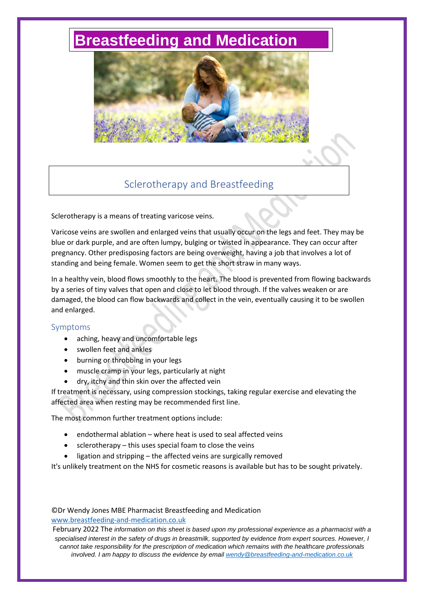# **[Breastfeeding and Medication](http://www.breastfeeding-and-medication.co.uk/)**



## Sclerotherapy and Breastfeeding

Sclerotherapy is a means of treating varicose veins.

Varicose veins are swollen and enlarged veins that usually occur on the legs and feet. They may be blue or dark purple, and are often lumpy, bulging or twisted in appearance. They can occur after pregnancy. Other predisposing factors are being overweight, having a job that involves a lot of standing and being female. Women seem to get the short straw in many ways.

In a healthy vein, blood flows smoothly to the heart. The blood is prevented from flowing backwards by a series of tiny valves that open and close to let blood through. If the valves weaken or are damaged, the blood can flow backwards and collect in the vein, eventually causing it to be swollen and enlarged.

#### Symptoms

- aching, heavy and uncomfortable legs
- swollen feet and ankles
- burning or throbbing in your legs
- muscle cramp in your legs, particularly at night
- dry, itchy and thin skin over the affected vein

If treatment is necessary, using compression stockings, taking regular exercise and elevating the affected area when resting may be recommended first line.

The most common further treatment options include:

- endothermal ablation where heat is used to seal affected veins
- sclerotherapy this uses special foam to close the veins
- ligation and stripping the affected veins are surgically removed

It's unlikely treatment on the NHS for cosmetic reasons is available but has to be sought privately.

### ©Dr Wendy Jones MBE Pharmacist Breastfeeding and Medication [www.breastfeeding-and-medication.co.uk](http://www.breastfeeding-and-medication.co.uk/)

February 2022 The *information on this sheet is based upon my professional experience as a pharmacist with a specialised interest in the safety of drugs in breastmilk, supported by evidence from expert sources. However, I cannot take responsibility for the prescription of medication which remains with the healthcare professionals involved. I am happy to discuss the evidence by email [wendy@breastfeeding-and-medication.co.uk](mailto:wendy@breastfeeding-and-medication.co.uk)*